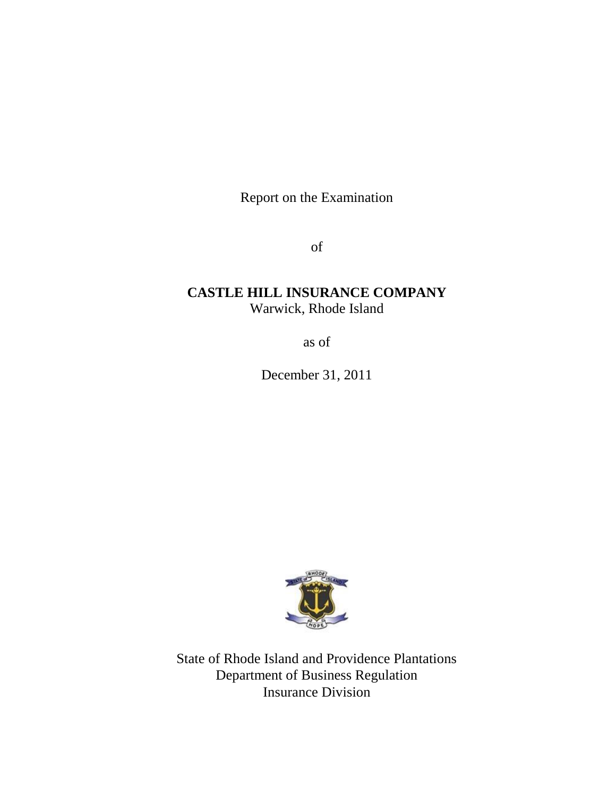Report on the Examination

of

# **CASTLE HILL INSURANCE COMPANY** Warwick, Rhode Island

as of

December 31, 2011



State of Rhode Island and Providence Plantations Department of Business Regulation Insurance Division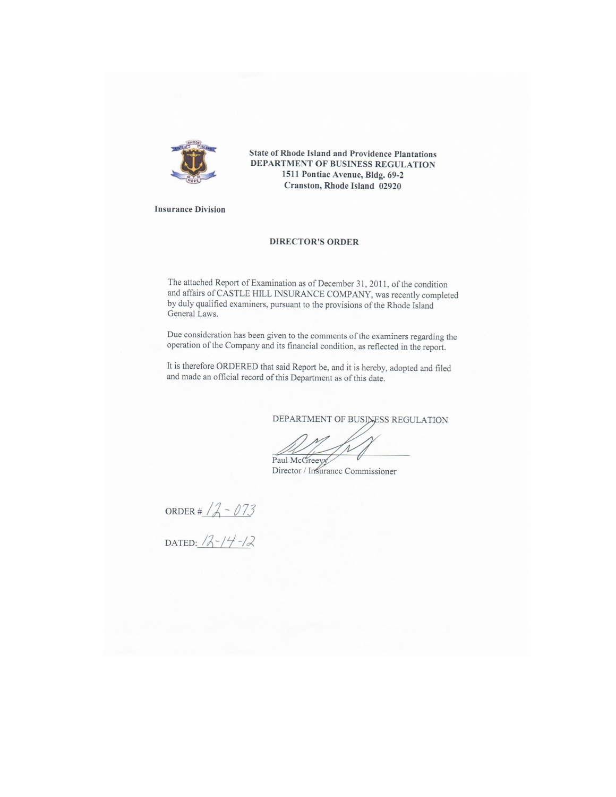

State of Rhode Island and Providence Plantations DEPARTMENT OF BUSINESS REGULATION 1511 Pontiac Avenue, Bldg. 69-2 Cranston, Rhode Island 02920

**Insurance Division** 

#### **DIRECTOR'S ORDER**

The attached Report of Examination as of December 31, 2011, of the condition and affairs of CASTLE HILL INSURANCE COMPANY, was recently completed by duly qualified examiners, pursuant to the provisions of the Rhode Island General Laws.

Due consideration has been given to the comments of the examiners regarding the operation of the Company and its financial condition, as reflected in the report.

It is therefore ORDERED that said Report be, and it is hereby, adopted and filed and made an official record of this Department as of this date.

DEPARTMENT OF BUSINESS REGULATION

Paul McGreeyy

Director / Insurance Commissioner

ORDER #  $12 - 073$ 

DATED:  $12-14-12$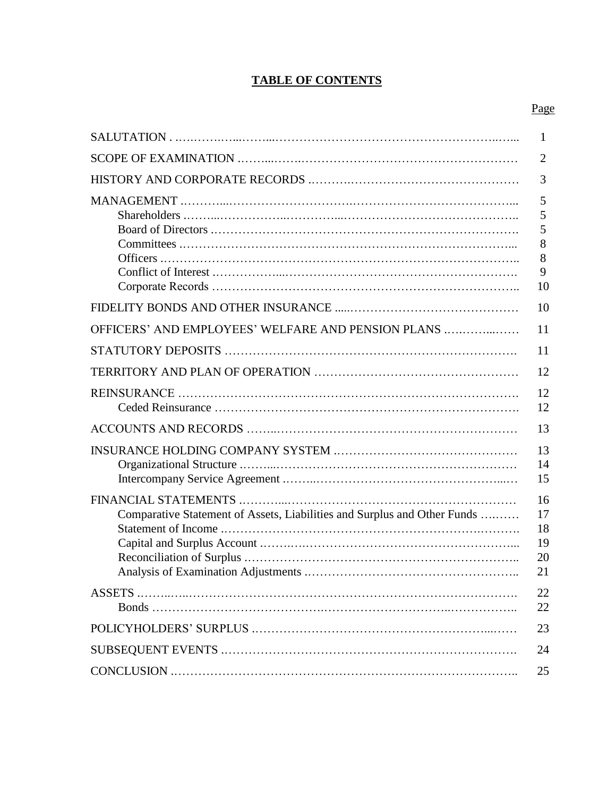# **TABLE OF CONTENTS**

|                                                                          | 1                                |
|--------------------------------------------------------------------------|----------------------------------|
|                                                                          | $\overline{2}$                   |
|                                                                          | 3                                |
|                                                                          | 5<br>5<br>5<br>8<br>8<br>9<br>10 |
|                                                                          | 10                               |
| OFFICERS' AND EMPLOYEES' WELFARE AND PENSION PLANS                       | 11                               |
|                                                                          | 11                               |
|                                                                          | 12                               |
|                                                                          | 12<br>12                         |
|                                                                          | 13                               |
|                                                                          | 13<br>14<br>15                   |
| Comparative Statement of Assets, Liabilities and Surplus and Other Funds | 16<br>17<br>18<br>19<br>20<br>21 |
| ASSETS                                                                   | 22<br>22                         |
|                                                                          | 23                               |
|                                                                          | 24                               |
|                                                                          | 25                               |
|                                                                          |                                  |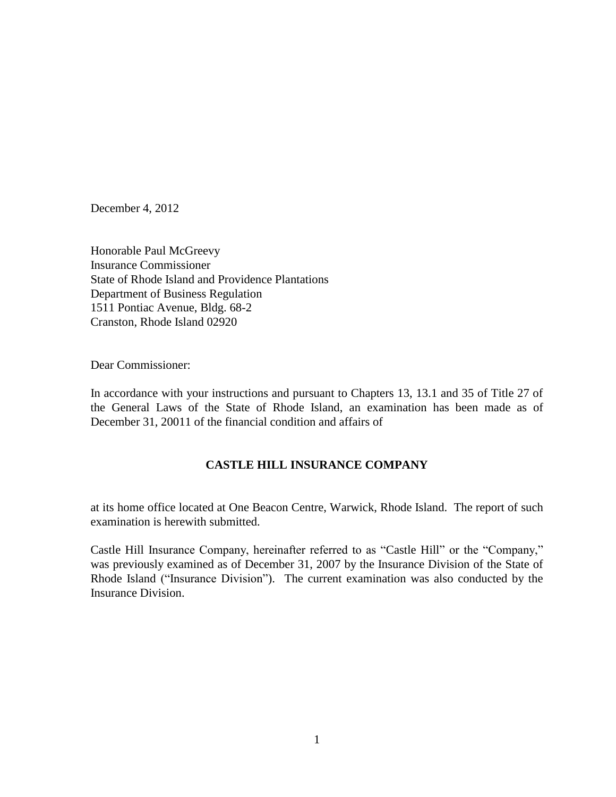December 4, 2012

Honorable Paul McGreevy Insurance Commissioner State of Rhode Island and Providence Plantations Department of Business Regulation 1511 Pontiac Avenue, Bldg. 68-2 Cranston, Rhode Island 02920

Dear Commissioner:

In accordance with your instructions and pursuant to Chapters 13, 13.1 and 35 of Title 27 of the General Laws of the State of Rhode Island, an examination has been made as of December 31, 20011 of the financial condition and affairs of

# **CASTLE HILL INSURANCE COMPANY**

at its home office located at One Beacon Centre, Warwick, Rhode Island. The report of such examination is herewith submitted.

Castle Hill Insurance Company, hereinafter referred to as "Castle Hill" or the "Company," was previously examined as of December 31, 2007 by the Insurance Division of the State of Rhode Island ("Insurance Division"). The current examination was also conducted by the Insurance Division.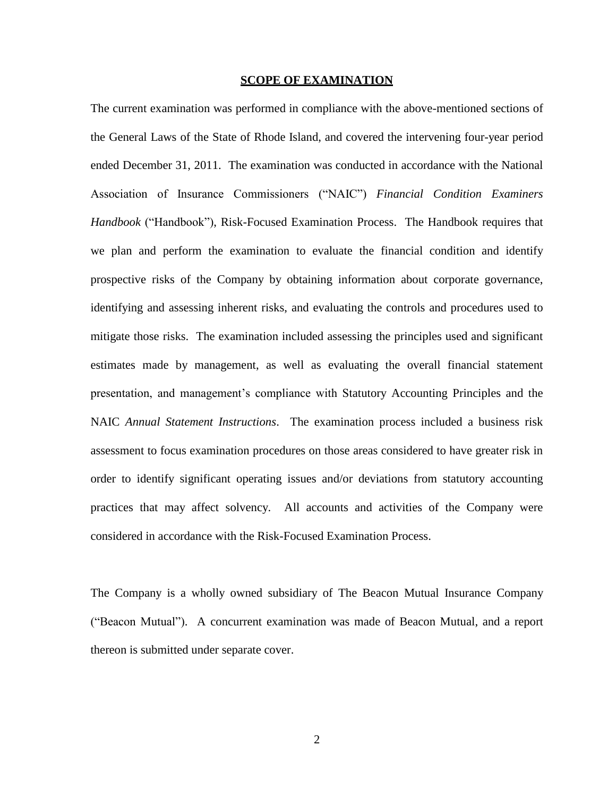#### **SCOPE OF EXAMINATION**

The current examination was performed in compliance with the above-mentioned sections of the General Laws of the State of Rhode Island, and covered the intervening four-year period ended December 31, 2011. The examination was conducted in accordance with the National Association of Insurance Commissioners ("NAIC") *Financial Condition Examiners Handbook* ("Handbook"), Risk-Focused Examination Process. The Handbook requires that we plan and perform the examination to evaluate the financial condition and identify prospective risks of the Company by obtaining information about corporate governance, identifying and assessing inherent risks, and evaluating the controls and procedures used to mitigate those risks. The examination included assessing the principles used and significant estimates made by management, as well as evaluating the overall financial statement presentation, and management's compliance with Statutory Accounting Principles and the NAIC *Annual Statement Instructions*. The examination process included a business risk assessment to focus examination procedures on those areas considered to have greater risk in order to identify significant operating issues and/or deviations from statutory accounting practices that may affect solvency. All accounts and activities of the Company were considered in accordance with the Risk-Focused Examination Process.

The Company is a wholly owned subsidiary of The Beacon Mutual Insurance Company ("Beacon Mutual"). A concurrent examination was made of Beacon Mutual, and a report thereon is submitted under separate cover.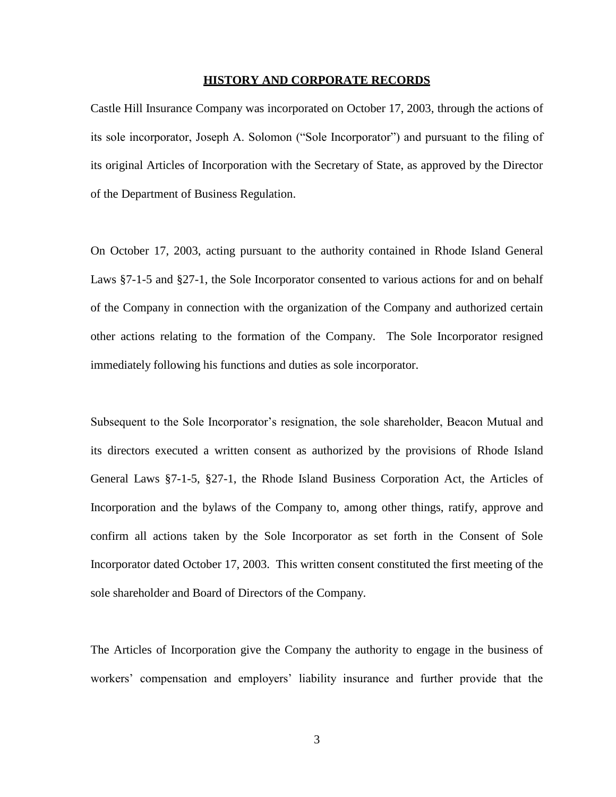#### **HISTORY AND CORPORATE RECORDS**

Castle Hill Insurance Company was incorporated on October 17, 2003, through the actions of its sole incorporator, Joseph A. Solomon ("Sole Incorporator") and pursuant to the filing of its original Articles of Incorporation with the Secretary of State, as approved by the Director of the Department of Business Regulation.

On October 17, 2003, acting pursuant to the authority contained in Rhode Island General Laws §7-1-5 and §27-1, the Sole Incorporator consented to various actions for and on behalf of the Company in connection with the organization of the Company and authorized certain other actions relating to the formation of the Company. The Sole Incorporator resigned immediately following his functions and duties as sole incorporator.

Subsequent to the Sole Incorporator's resignation, the sole shareholder, Beacon Mutual and its directors executed a written consent as authorized by the provisions of Rhode Island General Laws §7-1-5, §27-1, the Rhode Island Business Corporation Act, the Articles of Incorporation and the bylaws of the Company to, among other things, ratify, approve and confirm all actions taken by the Sole Incorporator as set forth in the Consent of Sole Incorporator dated October 17, 2003. This written consent constituted the first meeting of the sole shareholder and Board of Directors of the Company.

The Articles of Incorporation give the Company the authority to engage in the business of workers' compensation and employers' liability insurance and further provide that the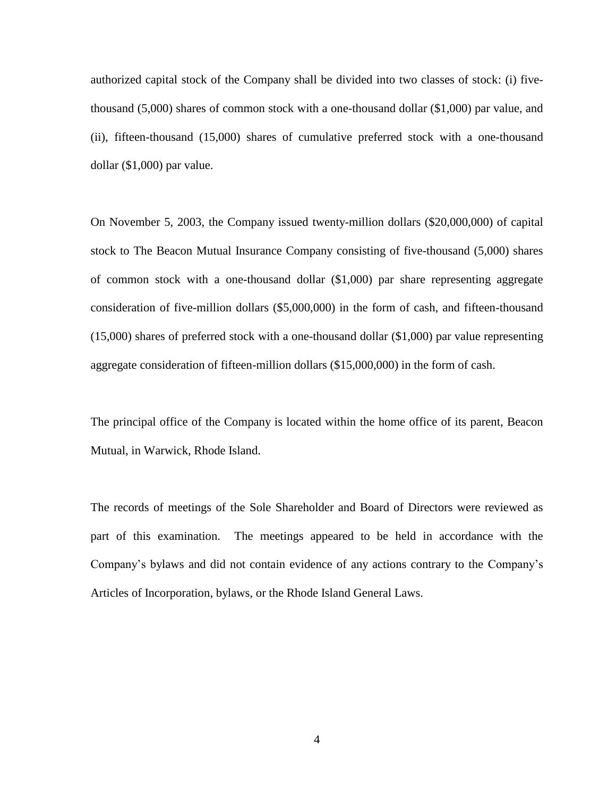authorized capital stock of the Company shall be divided into two classes of stock: (i) fivethousand (5,000) shares of common stock with a one-thousand dollar (\$1,000) par value, and (ii), fifteen-thousand (15,000) shares of cumulative preferred stock with a one-thousand dollar (\$1,000) par value.

On November 5, 2003, the Company issued twenty-million dollars (\$20,000,000) of capital stock to The Beacon Mutual Insurance Company consisting of five-thousand (5,000) shares of common stock with a one-thousand dollar (\$1,000) par share representing aggregate consideration of five-million dollars (\$5,000,000) in the form of cash, and fifteen-thousand (15,000) shares of preferred stock with a one-thousand dollar (\$1,000) par value representing aggregate consideration of fifteen-million dollars (\$15,000,000) in the form of cash.

The principal office of the Company is located within the home office of its parent, Beacon Mutual, in Warwick, Rhode Island.

The records of meetings of the Sole Shareholder and Board of Directors were reviewed as part of this examination. The meetings appeared to be held in accordance with the Company's bylaws and did not contain evidence of any actions contrary to the Company's Articles of Incorporation, bylaws, or the Rhode Island General Laws.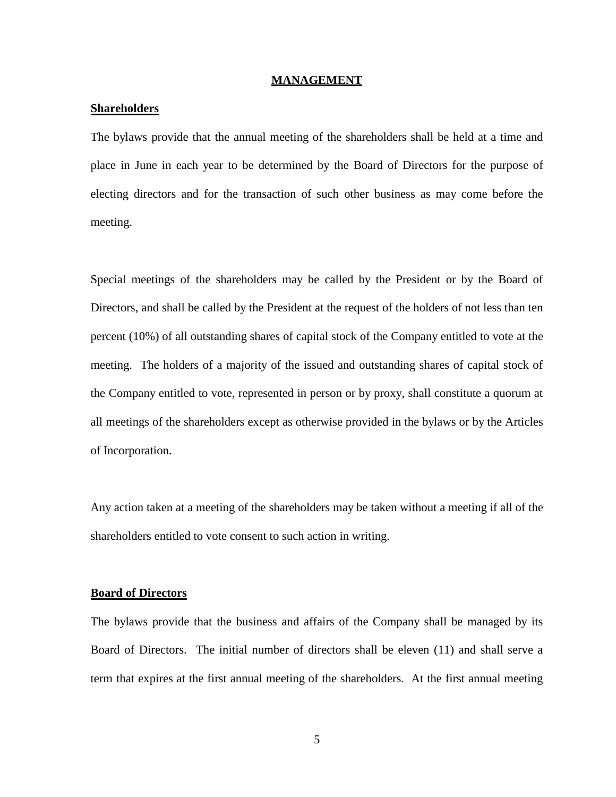#### **MANAGEMENT**

### **Shareholders**

The bylaws provide that the annual meeting of the shareholders shall be held at a time and place in June in each year to be determined by the Board of Directors for the purpose of electing directors and for the transaction of such other business as may come before the meeting.

Special meetings of the shareholders may be called by the President or by the Board of Directors, and shall be called by the President at the request of the holders of not less than ten percent (10%) of all outstanding shares of capital stock of the Company entitled to vote at the meeting. The holders of a majority of the issued and outstanding shares of capital stock of the Company entitled to vote, represented in person or by proxy, shall constitute a quorum at all meetings of the shareholders except as otherwise provided in the bylaws or by the Articles of Incorporation.

Any action taken at a meeting of the shareholders may be taken without a meeting if all of the shareholders entitled to vote consent to such action in writing.

# **Board of Directors**

The bylaws provide that the business and affairs of the Company shall be managed by its Board of Directors. The initial number of directors shall be eleven (11) and shall serve a term that expires at the first annual meeting of the shareholders. At the first annual meeting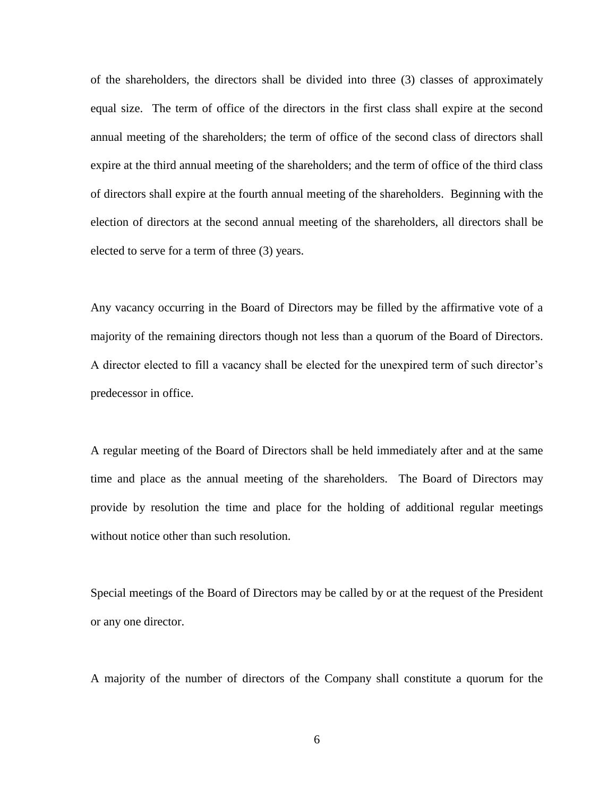of the shareholders, the directors shall be divided into three (3) classes of approximately equal size. The term of office of the directors in the first class shall expire at the second annual meeting of the shareholders; the term of office of the second class of directors shall expire at the third annual meeting of the shareholders; and the term of office of the third class of directors shall expire at the fourth annual meeting of the shareholders. Beginning with the election of directors at the second annual meeting of the shareholders, all directors shall be elected to serve for a term of three (3) years.

Any vacancy occurring in the Board of Directors may be filled by the affirmative vote of a majority of the remaining directors though not less than a quorum of the Board of Directors. A director elected to fill a vacancy shall be elected for the unexpired term of such director's predecessor in office.

A regular meeting of the Board of Directors shall be held immediately after and at the same time and place as the annual meeting of the shareholders. The Board of Directors may provide by resolution the time and place for the holding of additional regular meetings without notice other than such resolution.

Special meetings of the Board of Directors may be called by or at the request of the President or any one director.

A majority of the number of directors of the Company shall constitute a quorum for the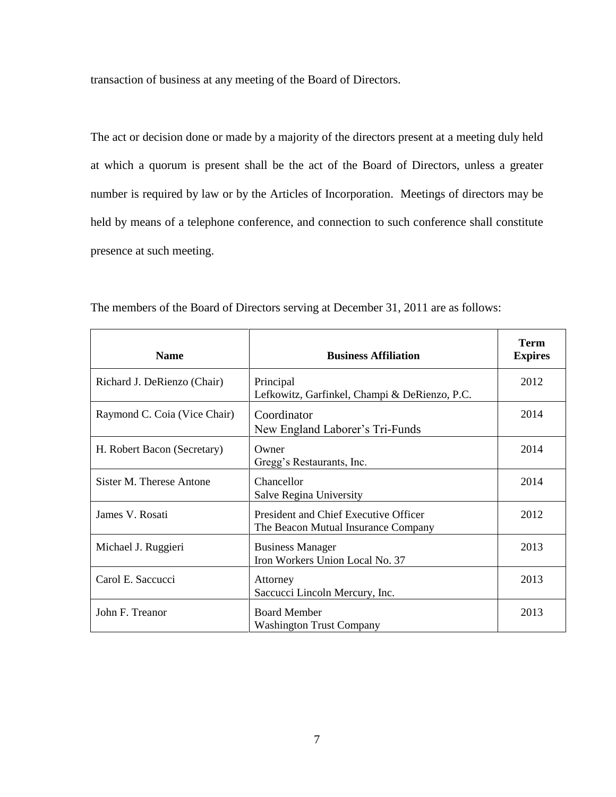transaction of business at any meeting of the Board of Directors.

The act or decision done or made by a majority of the directors present at a meeting duly held at which a quorum is present shall be the act of the Board of Directors, unless a greater number is required by law or by the Articles of Incorporation. Meetings of directors may be held by means of a telephone conference, and connection to such conference shall constitute presence at such meeting.

| <b>Name</b>                  | <b>Business Affiliation</b>                                                  | <b>Term</b><br><b>Expires</b> |
|------------------------------|------------------------------------------------------------------------------|-------------------------------|
| Richard J. DeRienzo (Chair)  | Principal<br>Lefkowitz, Garfinkel, Champi & DeRienzo, P.C.                   | 2012                          |
| Raymond C. Coia (Vice Chair) | Coordinator<br>New England Laborer's Tri-Funds                               | 2014                          |
| H. Robert Bacon (Secretary)  | Owner<br>Gregg's Restaurants, Inc.                                           | 2014                          |
| Sister M. Therese Antone     | Chancellor<br>Salve Regina University                                        | 2014                          |
| James V. Rosati              | President and Chief Executive Officer<br>The Beacon Mutual Insurance Company | 2012                          |
| Michael J. Ruggieri          | <b>Business Manager</b><br>Iron Workers Union Local No. 37                   | 2013                          |
| Carol E. Saccucci            | Attorney<br>Saccucci Lincoln Mercury, Inc.                                   | 2013                          |
| John F. Treanor              | <b>Board Member</b><br><b>Washington Trust Company</b>                       | 2013                          |

The members of the Board of Directors serving at December 31, 2011 are as follows: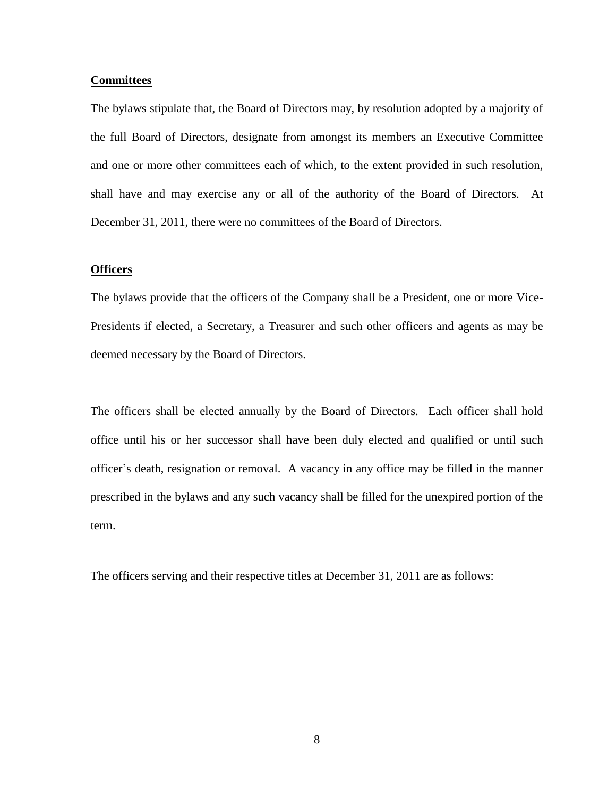## **Committees**

The bylaws stipulate that, the Board of Directors may, by resolution adopted by a majority of the full Board of Directors, designate from amongst its members an Executive Committee and one or more other committees each of which, to the extent provided in such resolution, shall have and may exercise any or all of the authority of the Board of Directors. At December 31, 2011, there were no committees of the Board of Directors.

#### **Officers**

The bylaws provide that the officers of the Company shall be a President, one or more Vice-Presidents if elected, a Secretary, a Treasurer and such other officers and agents as may be deemed necessary by the Board of Directors.

The officers shall be elected annually by the Board of Directors. Each officer shall hold office until his or her successor shall have been duly elected and qualified or until such officer's death, resignation or removal. A vacancy in any office may be filled in the manner prescribed in the bylaws and any such vacancy shall be filled for the unexpired portion of the term.

The officers serving and their respective titles at December 31, 2011 are as follows: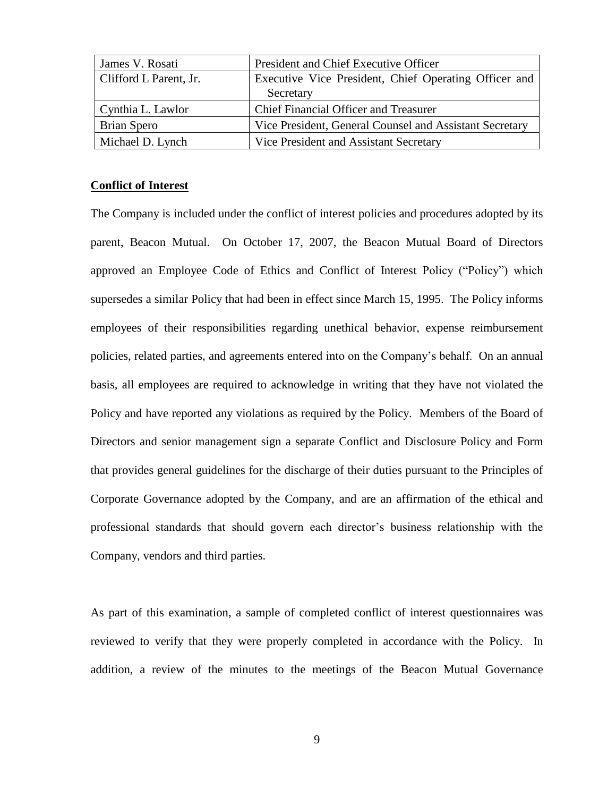| James V. Rosati        | President and Chief Executive Officer                   |
|------------------------|---------------------------------------------------------|
| Clifford L Parent, Jr. | Executive Vice President, Chief Operating Officer and   |
|                        | Secretary                                               |
| Cynthia L. Lawlor      | <b>Chief Financial Officer and Treasurer</b>            |
| Brian Spero            | Vice President, General Counsel and Assistant Secretary |
| Michael D. Lynch       | Vice President and Assistant Secretary                  |

## **Conflict of Interest**

The Company is included under the conflict of interest policies and procedures adopted by its parent, Beacon Mutual. On October 17, 2007, the Beacon Mutual Board of Directors approved an Employee Code of Ethics and Conflict of Interest Policy ("Policy") which supersedes a similar Policy that had been in effect since March 15, 1995. The Policy informs employees of their responsibilities regarding unethical behavior, expense reimbursement policies, related parties, and agreements entered into on the Company's behalf. On an annual basis, all employees are required to acknowledge in writing that they have not violated the Policy and have reported any violations as required by the Policy. Members of the Board of Directors and senior management sign a separate Conflict and Disclosure Policy and Form that provides general guidelines for the discharge of their duties pursuant to the Principles of Corporate Governance adopted by the Company, and are an affirmation of the ethical and professional standards that should govern each director's business relationship with the Company, vendors and third parties.

As part of this examination, a sample of completed conflict of interest questionnaires was reviewed to verify that they were properly completed in accordance with the Policy. In addition, a review of the minutes to the meetings of the Beacon Mutual Governance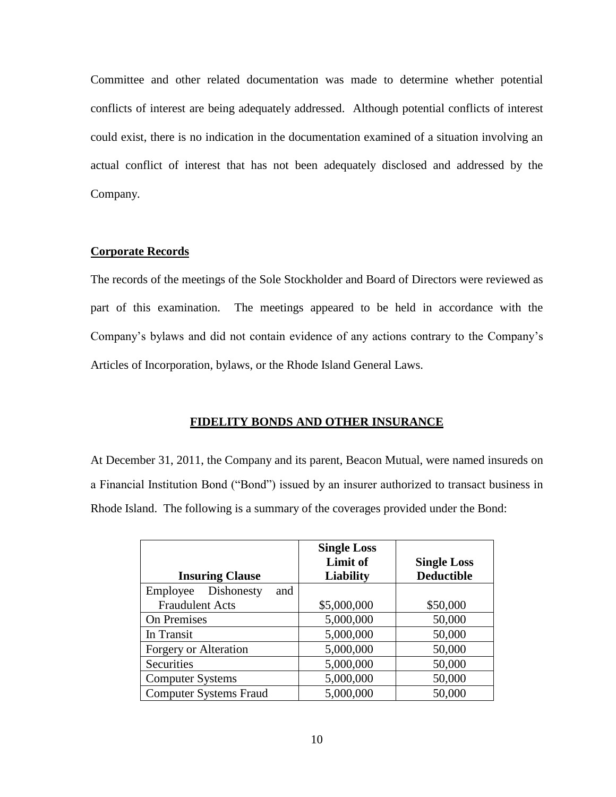Committee and other related documentation was made to determine whether potential conflicts of interest are being adequately addressed. Although potential conflicts of interest could exist, there is no indication in the documentation examined of a situation involving an actual conflict of interest that has not been adequately disclosed and addressed by the Company.

# **Corporate Records**

The records of the meetings of the Sole Stockholder and Board of Directors were reviewed as part of this examination. The meetings appeared to be held in accordance with the Company's bylaws and did not contain evidence of any actions contrary to the Company's Articles of Incorporation, bylaws, or the Rhode Island General Laws.

# **FIDELITY BONDS AND OTHER INSURANCE**

At December 31, 2011, the Company and its parent, Beacon Mutual, were named insureds on a Financial Institution Bond ("Bond") issued by an insurer authorized to transact business in Rhode Island. The following is a summary of the coverages provided under the Bond:

|                               | <b>Single Loss</b> |                    |
|-------------------------------|--------------------|--------------------|
|                               | Limit of           | <b>Single Loss</b> |
| <b>Insuring Clause</b>        | <b>Liability</b>   | <b>Deductible</b>  |
| Dishonesty<br>Employee<br>and |                    |                    |
| <b>Fraudulent Acts</b>        | \$5,000,000        | \$50,000           |
| On Premises                   | 5,000,000          | 50,000             |
| In Transit                    | 5,000,000          | 50,000             |
| Forgery or Alteration         | 5,000,000          | 50,000             |
| Securities                    | 5,000,000          | 50,000             |
| <b>Computer Systems</b>       | 5,000,000          | 50,000             |
| <b>Computer Systems Fraud</b> | 5,000,000          | 50,000             |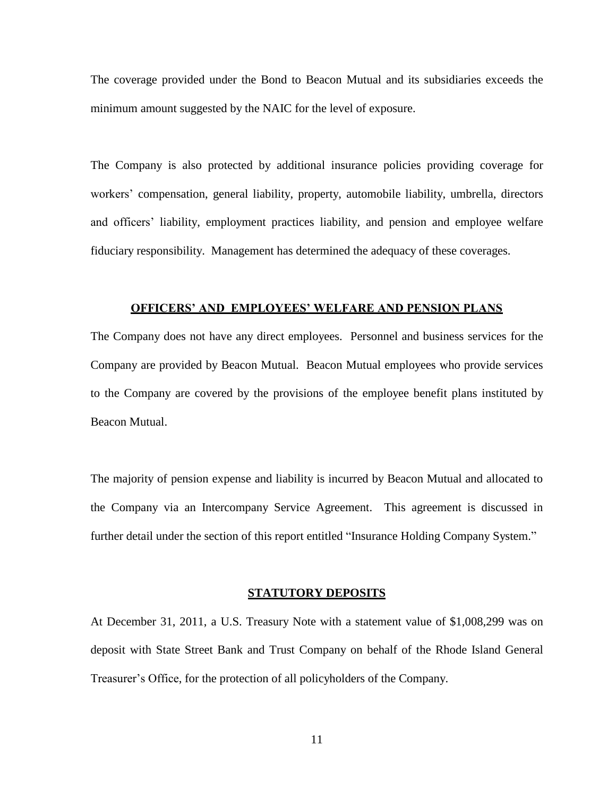The coverage provided under the Bond to Beacon Mutual and its subsidiaries exceeds the minimum amount suggested by the NAIC for the level of exposure.

The Company is also protected by additional insurance policies providing coverage for workers' compensation, general liability, property, automobile liability, umbrella, directors and officers' liability, employment practices liability, and pension and employee welfare fiduciary responsibility. Management has determined the adequacy of these coverages.

### **OFFICERS' AND EMPLOYEES' WELFARE AND PENSION PLANS**

The Company does not have any direct employees. Personnel and business services for the Company are provided by Beacon Mutual. Beacon Mutual employees who provide services to the Company are covered by the provisions of the employee benefit plans instituted by Beacon Mutual.

The majority of pension expense and liability is incurred by Beacon Mutual and allocated to the Company via an Intercompany Service Agreement. This agreement is discussed in further detail under the section of this report entitled "Insurance Holding Company System."

### **STATUTORY DEPOSITS**

At December 31, 2011, a U.S. Treasury Note with a statement value of \$1,008,299 was on deposit with State Street Bank and Trust Company on behalf of the Rhode Island General Treasurer's Office, for the protection of all policyholders of the Company.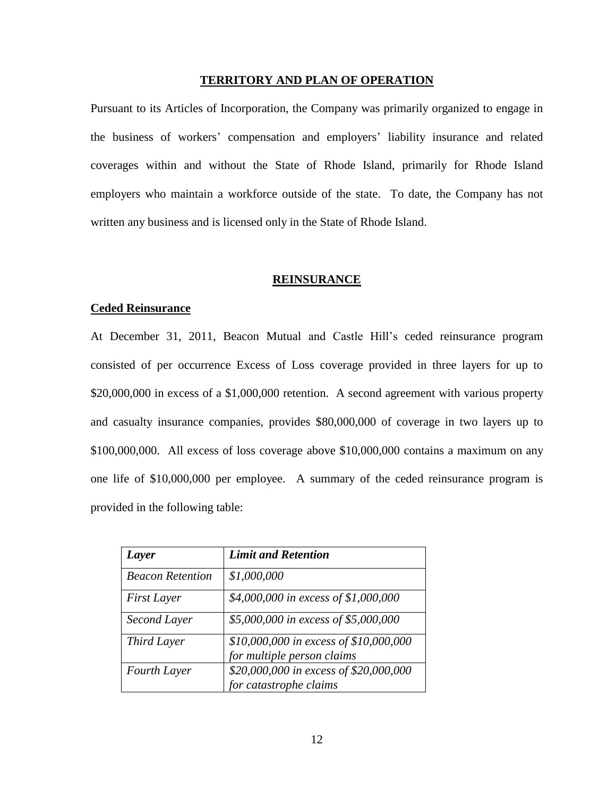#### **TERRITORY AND PLAN OF OPERATION**

Pursuant to its Articles of Incorporation, the Company was primarily organized to engage in the business of workers' compensation and employers' liability insurance and related coverages within and without the State of Rhode Island, primarily for Rhode Island employers who maintain a workforce outside of the state. To date, the Company has not written any business and is licensed only in the State of Rhode Island.

## **REINSURANCE**

#### **Ceded Reinsurance**

At December 31, 2011, Beacon Mutual and Castle Hill's ceded reinsurance program consisted of per occurrence Excess of Loss coverage provided in three layers for up to \$20,000,000 in excess of a \$1,000,000 retention. A second agreement with various property and casualty insurance companies, provides \$80,000,000 of coverage in two layers up to \$100,000,000. All excess of loss coverage above \$10,000,000 contains a maximum on any one life of \$10,000,000 per employee. A summary of the ceded reinsurance program is provided in the following table:

| <b>Layer</b>            | <b>Limit and Retention</b>                                           |
|-------------------------|----------------------------------------------------------------------|
| <b>Beacon Retention</b> | \$1,000,000                                                          |
| <b>First Layer</b>      | \$4,000,000 in excess of \$1,000,000                                 |
| Second Layer            | \$5,000,000 in excess of \$5,000,000                                 |
| Third Layer             | \$10,000,000 in excess of \$10,000,000<br>for multiple person claims |
| Fourth Layer            | \$20,000,000 in excess of \$20,000,000<br>for catastrophe claims     |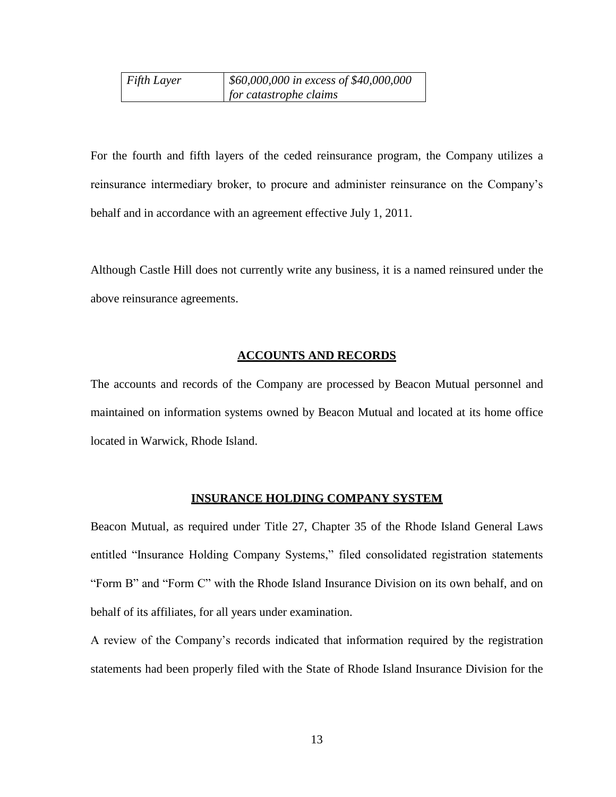| $F$ <i>Fifth Layer</i> | $\frac{1}{2}$ \$60,000,000 in excess of \$40,000,000 |
|------------------------|------------------------------------------------------|
|                        | for catastrophe claims                               |

For the fourth and fifth layers of the ceded reinsurance program, the Company utilizes a reinsurance intermediary broker, to procure and administer reinsurance on the Company's behalf and in accordance with an agreement effective July 1, 2011.

Although Castle Hill does not currently write any business, it is a named reinsured under the above reinsurance agreements.

# **ACCOUNTS AND RECORDS**

The accounts and records of the Company are processed by Beacon Mutual personnel and maintained on information systems owned by Beacon Mutual and located at its home office located in Warwick, Rhode Island.

## **INSURANCE HOLDING COMPANY SYSTEM**

Beacon Mutual, as required under Title 27, Chapter 35 of the Rhode Island General Laws entitled "Insurance Holding Company Systems," filed consolidated registration statements "Form B" and "Form C" with the Rhode Island Insurance Division on its own behalf, and on behalf of its affiliates, for all years under examination.

A review of the Company's records indicated that information required by the registration statements had been properly filed with the State of Rhode Island Insurance Division for the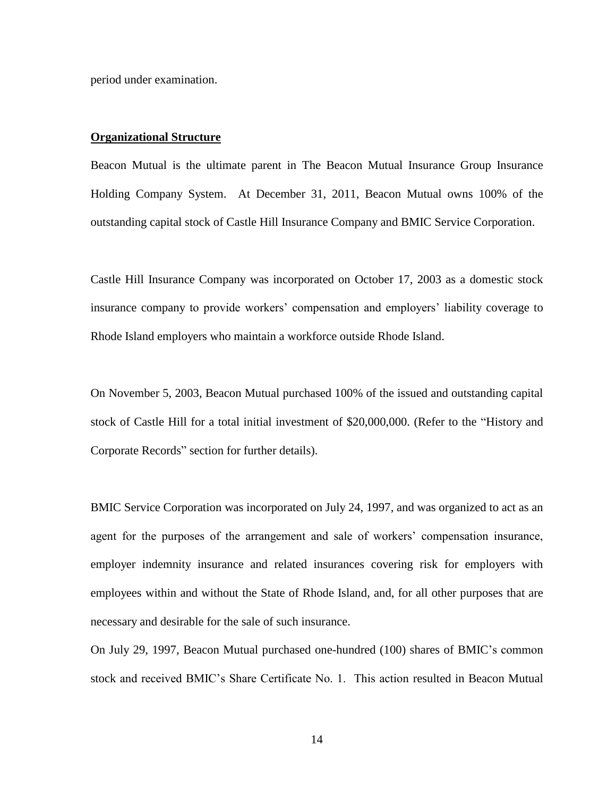period under examination.

## **Organizational Structure**

Beacon Mutual is the ultimate parent in The Beacon Mutual Insurance Group Insurance Holding Company System. At December 31, 2011, Beacon Mutual owns 100% of the outstanding capital stock of Castle Hill Insurance Company and BMIC Service Corporation.

Castle Hill Insurance Company was incorporated on October 17, 2003 as a domestic stock insurance company to provide workers' compensation and employers' liability coverage to Rhode Island employers who maintain a workforce outside Rhode Island.

On November 5, 2003, Beacon Mutual purchased 100% of the issued and outstanding capital stock of Castle Hill for a total initial investment of \$20,000,000. (Refer to the "History and Corporate Records" section for further details).

BMIC Service Corporation was incorporated on July 24, 1997, and was organized to act as an agent for the purposes of the arrangement and sale of workers' compensation insurance, employer indemnity insurance and related insurances covering risk for employers with employees within and without the State of Rhode Island, and, for all other purposes that are necessary and desirable for the sale of such insurance.

On July 29, 1997, Beacon Mutual purchased one-hundred (100) shares of BMIC's common stock and received BMIC's Share Certificate No. 1. This action resulted in Beacon Mutual

14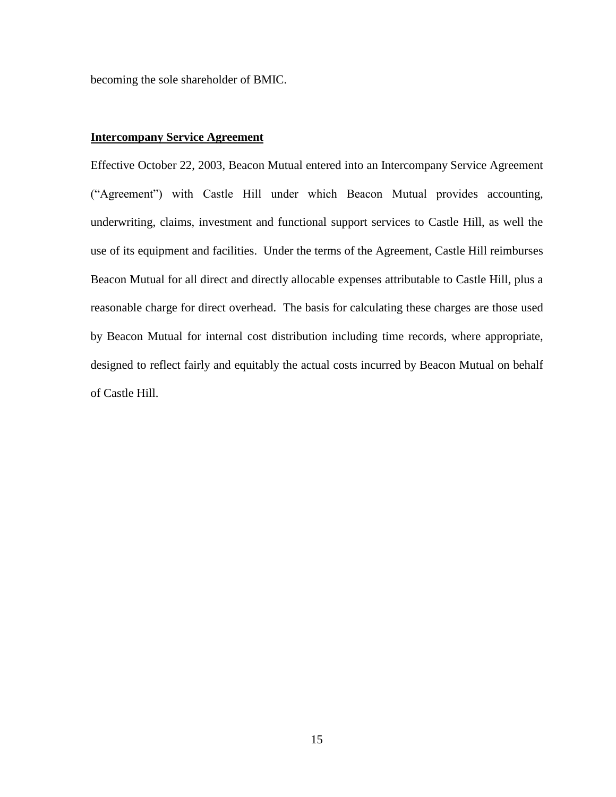becoming the sole shareholder of BMIC.

## **Intercompany Service Agreement**

Effective October 22, 2003, Beacon Mutual entered into an Intercompany Service Agreement ("Agreement") with Castle Hill under which Beacon Mutual provides accounting, underwriting, claims, investment and functional support services to Castle Hill, as well the use of its equipment and facilities. Under the terms of the Agreement, Castle Hill reimburses Beacon Mutual for all direct and directly allocable expenses attributable to Castle Hill, plus a reasonable charge for direct overhead. The basis for calculating these charges are those used by Beacon Mutual for internal cost distribution including time records, where appropriate, designed to reflect fairly and equitably the actual costs incurred by Beacon Mutual on behalf of Castle Hill.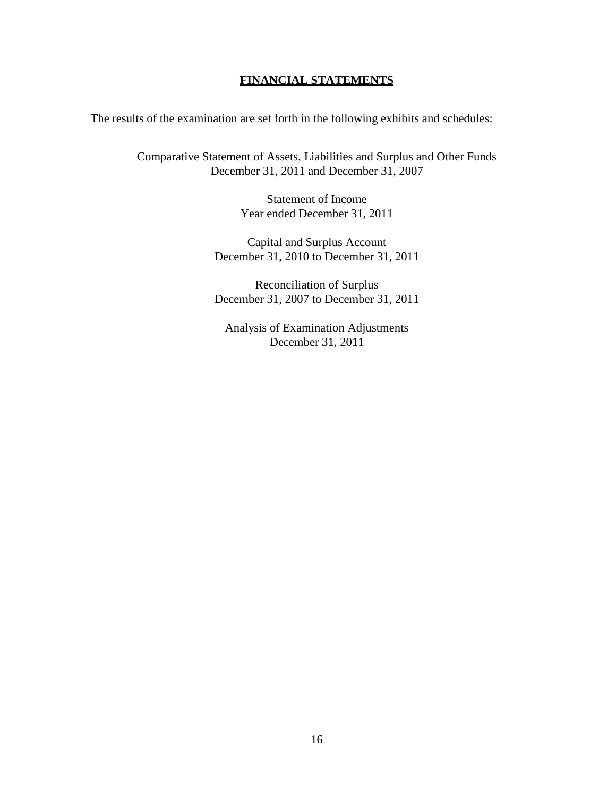# **FINANCIAL STATEMENTS**

The results of the examination are set forth in the following exhibits and schedules:

Comparative Statement of Assets, Liabilities and Surplus and Other Funds December 31, 2011 and December 31, 2007

> Statement of Income Year ended December 31, 2011

Capital and Surplus Account December 31, 2010 to December 31, 2011

Reconciliation of Surplus December 31, 2007 to December 31, 2011

Analysis of Examination Adjustments December 31, 2011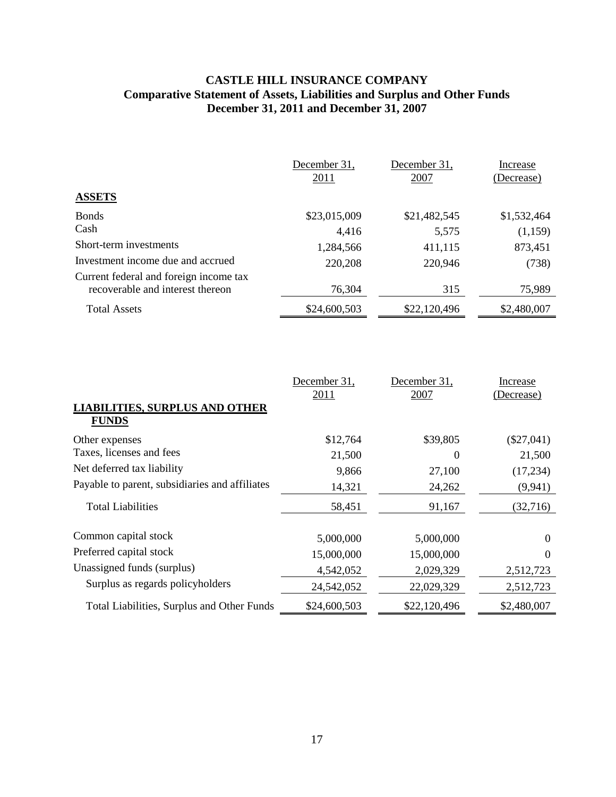# **CASTLE HILL INSURANCE COMPANY Comparative Statement of Assets, Liabilities and Surplus and Other Funds December 31, 2011 and December 31, 2007**

|                                                                            | December 31,<br>2011 | December 31,<br>2007 | Increase<br>(Decrease) |
|----------------------------------------------------------------------------|----------------------|----------------------|------------------------|
| <b>ASSETS</b>                                                              |                      |                      |                        |
| <b>Bonds</b>                                                               | \$23,015,009         | \$21,482,545         | \$1,532,464            |
| Cash                                                                       | 4,416                | 5,575                | (1,159)                |
| Short-term investments                                                     | 1,284,566            | 411,115              | 873,451                |
| Investment income due and accrued                                          | 220,208              | 220,946              | (738)                  |
| Current federal and foreign income tax<br>recoverable and interest thereon | 76,304               | 315                  | 75,989                 |
| <b>Total Assets</b>                                                        | \$24,600,503         | \$22,120,496         | \$2,480,007            |

|                                                       | December 31, | December 31, | Increase     |
|-------------------------------------------------------|--------------|--------------|--------------|
| <b>LIABILITIES, SURPLUS AND OTHER</b><br><b>FUNDS</b> | 2011         | 2007         | (Decrease)   |
| Other expenses                                        | \$12,764     | \$39,805     | $(\$27,041)$ |
| Taxes, licenses and fees                              | 21,500       | 0            | 21,500       |
| Net deferred tax liability                            | 9,866        | 27,100       | (17, 234)    |
| Payable to parent, subsidiaries and affiliates        | 14,321       | 24,262       | (9,941)      |
| <b>Total Liabilities</b>                              | 58,451       | 91,167       | (32,716)     |
| Common capital stock                                  | 5,000,000    | 5,000,000    | 0            |
| Preferred capital stock                               | 15,000,000   | 15,000,000   | 0            |
| Unassigned funds (surplus)                            | 4,542,052    | 2,029,329    | 2,512,723    |
| Surplus as regards policyholders                      | 24,542,052   | 22,029,329   | 2,512,723    |
| Total Liabilities, Surplus and Other Funds            | \$24,600,503 | \$22,120,496 | \$2,480,007  |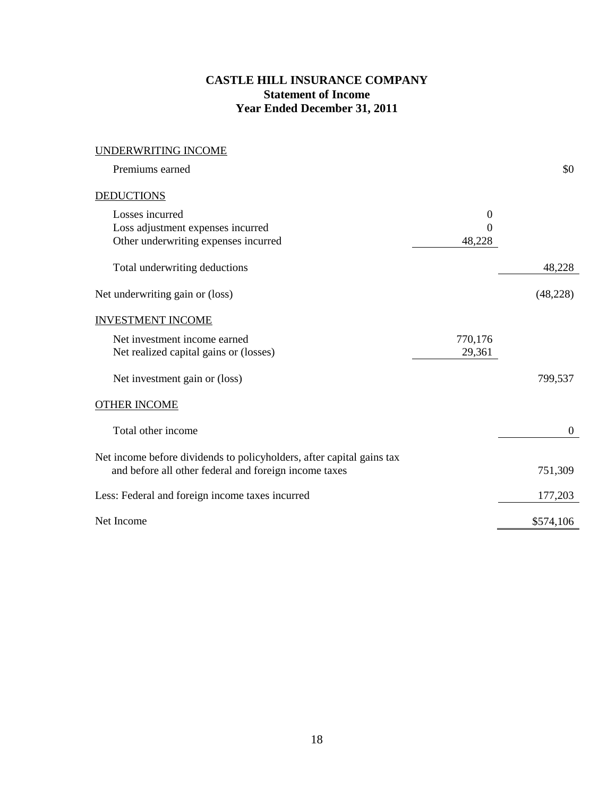# **CASTLE HILL INSURANCE COMPANY Statement of Income Year Ended December 31, 2011**

| UNDERWRITING INCOME                                                   |          |              |
|-----------------------------------------------------------------------|----------|--------------|
| Premiums earned                                                       |          | \$0          |
| <b>DEDUCTIONS</b>                                                     |          |              |
| Losses incurred                                                       | $\theta$ |              |
| Loss adjustment expenses incurred                                     | $\Omega$ |              |
| Other underwriting expenses incurred                                  | 48,228   |              |
| Total underwriting deductions                                         |          | 48,228       |
| Net underwriting gain or (loss)                                       |          | (48, 228)    |
| <b>INVESTMENT INCOME</b>                                              |          |              |
| Net investment income earned                                          | 770,176  |              |
| Net realized capital gains or (losses)                                | 29,361   |              |
| Net investment gain or (loss)                                         |          | 799,537      |
|                                                                       |          |              |
| <b>OTHER INCOME</b>                                                   |          |              |
| Total other income                                                    |          | $\mathbf{0}$ |
| Net income before dividends to policyholders, after capital gains tax |          |              |
| and before all other federal and foreign income taxes                 |          | 751,309      |
| Less: Federal and foreign income taxes incurred                       |          | 177,203      |
| Net Income                                                            |          | \$574,106    |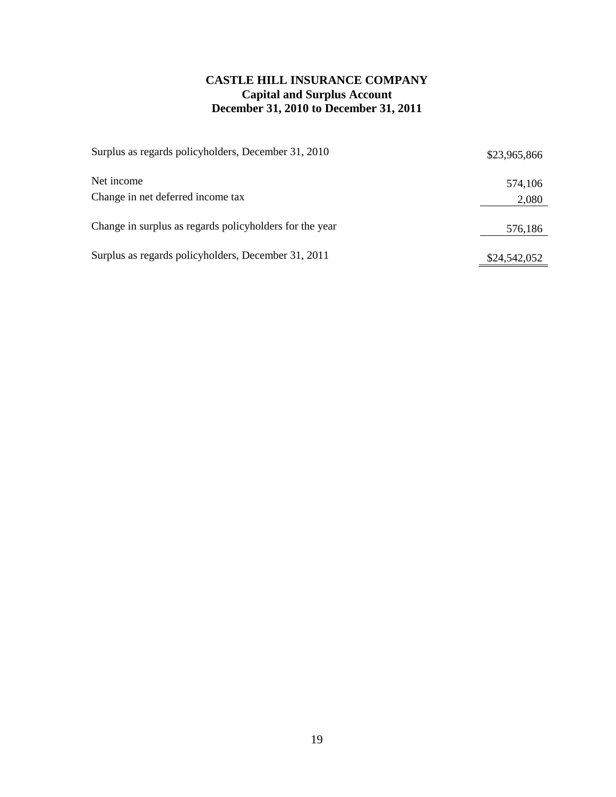# **CASTLE HILL INSURANCE COMPANY Capital and Surplus Account December 31, 2010 to December 31, 2011**

| Surplus as regards policyholders, December 31, 2010     | \$23,965,866 |
|---------------------------------------------------------|--------------|
| Net income                                              | 574,106      |
| Change in net deferred income tax                       | 2,080        |
| Change in surplus as regards policyholders for the year | 576,186      |
| Surplus as regards policyholders, December 31, 2011     | \$24,542,052 |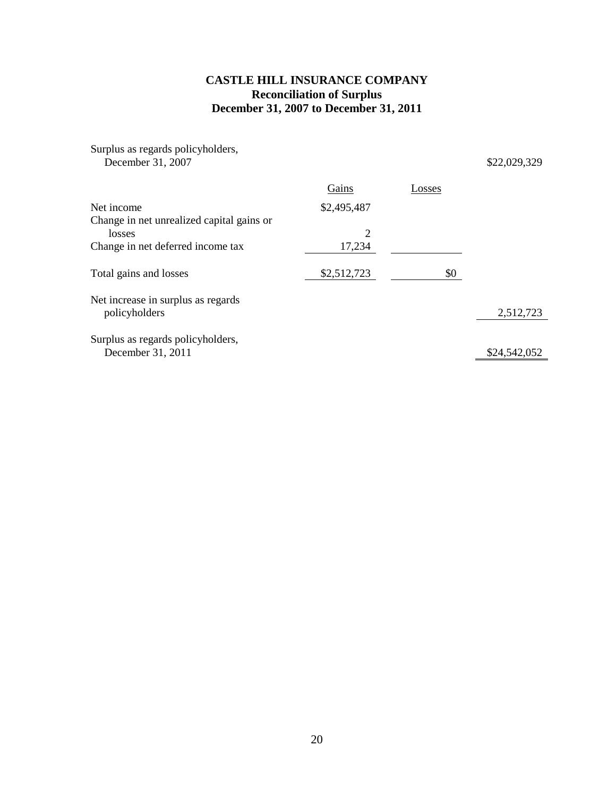# **CASTLE HILL INSURANCE COMPANY Reconciliation of Surplus December 31, 2007 to December 31, 2011**

| Surplus as regards policyholders,<br>December 31, 2007 |             |        | \$22,029,329 |
|--------------------------------------------------------|-------------|--------|--------------|
|                                                        | Gains       | Losses |              |
| Net income                                             | \$2,495,487 |        |              |
| Change in net unrealized capital gains or<br>losses    | 2           |        |              |
| Change in net deferred income tax                      | 17,234      |        |              |
| Total gains and losses                                 | \$2,512,723 | \$0    |              |
| Net increase in surplus as regards<br>policyholders    |             |        | 2,512,723    |
| Surplus as regards policyholders,<br>December 31, 2011 |             |        | \$24,542,052 |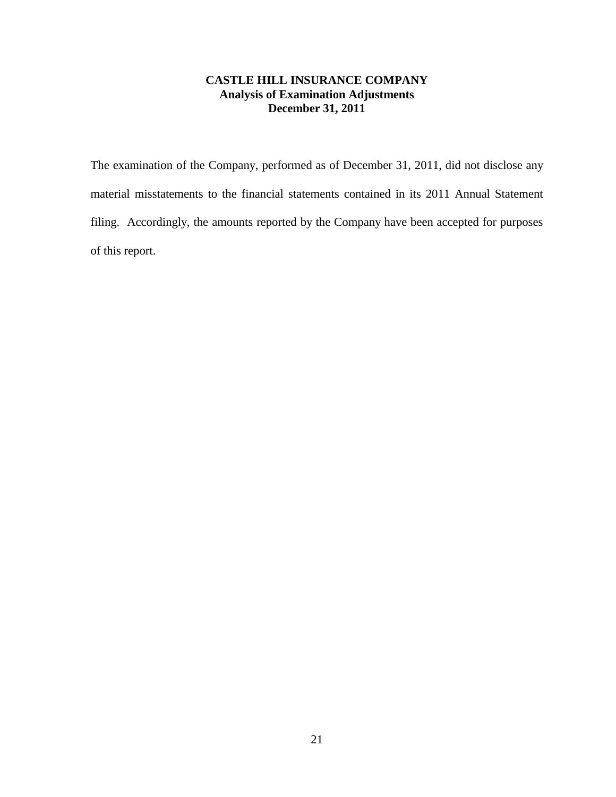# **CASTLE HILL INSURANCE COMPANY Analysis of Examination Adjustments December 31, 2011**

The examination of the Company, performed as of December 31, 2011, did not disclose any material misstatements to the financial statements contained in its 2011 Annual Statement filing. Accordingly, the amounts reported by the Company have been accepted for purposes of this report.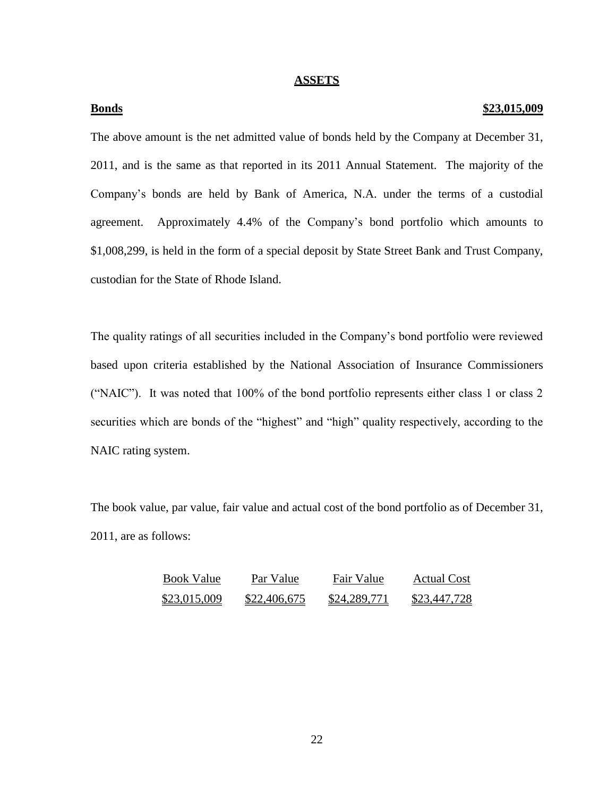## **ASSETS**

## **Bonds \$23,015,009**

The above amount is the net admitted value of bonds held by the Company at December 31, 2011, and is the same as that reported in its 2011 Annual Statement. The majority of the Company's bonds are held by Bank of America, N.A. under the terms of a custodial agreement. Approximately 4.4% of the Company's bond portfolio which amounts to \$1,008,299, is held in the form of a special deposit by State Street Bank and Trust Company, custodian for the State of Rhode Island.

The quality ratings of all securities included in the Company's bond portfolio were reviewed based upon criteria established by the National Association of Insurance Commissioners ("NAIC"). It was noted that 100% of the bond portfolio represents either class 1 or class 2 securities which are bonds of the "highest" and "high" quality respectively, according to the NAIC rating system.

The book value, par value, fair value and actual cost of the bond portfolio as of December 31, 2011, are as follows:

| <b>Book Value</b> | Par Value           | Fair Value          | Actual Cost  |
|-------------------|---------------------|---------------------|--------------|
| \$23,015,009      | <u>\$22,406,675</u> | <u>\$24,289,771</u> | \$23,447,728 |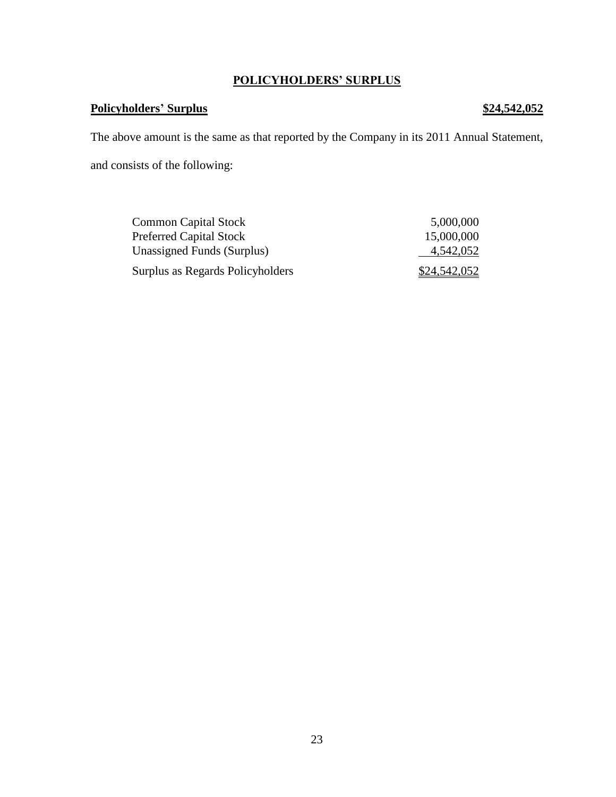# **POLICYHOLDERS' SURPLUS**

# **Policyholders' Surplus \$24,542,052**

The above amount is the same as that reported by the Company in its 2011 Annual Statement, and consists of the following:

| <b>Common Capital Stock</b>      | 5,000,000    |
|----------------------------------|--------------|
| <b>Preferred Capital Stock</b>   | 15,000,000   |
| Unassigned Funds (Surplus)       | 4,542,052    |
| Surplus as Regards Policyholders | \$24,542,052 |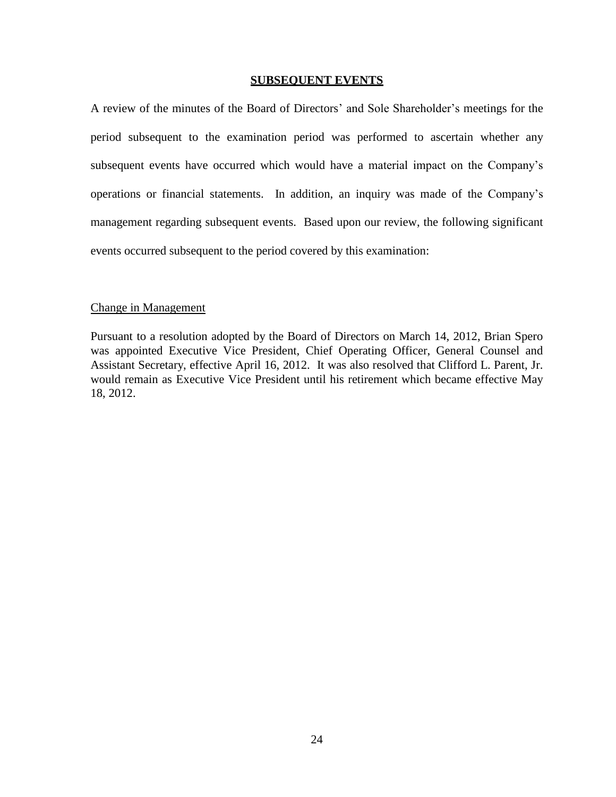## **SUBSEQUENT EVENTS**

A review of the minutes of the Board of Directors' and Sole Shareholder's meetings for the period subsequent to the examination period was performed to ascertain whether any subsequent events have occurred which would have a material impact on the Company's operations or financial statements. In addition, an inquiry was made of the Company's management regarding subsequent events. Based upon our review, the following significant events occurred subsequent to the period covered by this examination:

## Change in Management

Pursuant to a resolution adopted by the Board of Directors on March 14, 2012, Brian Spero was appointed Executive Vice President, Chief Operating Officer, General Counsel and Assistant Secretary, effective April 16, 2012. It was also resolved that Clifford L. Parent, Jr. would remain as Executive Vice President until his retirement which became effective May 18, 2012.